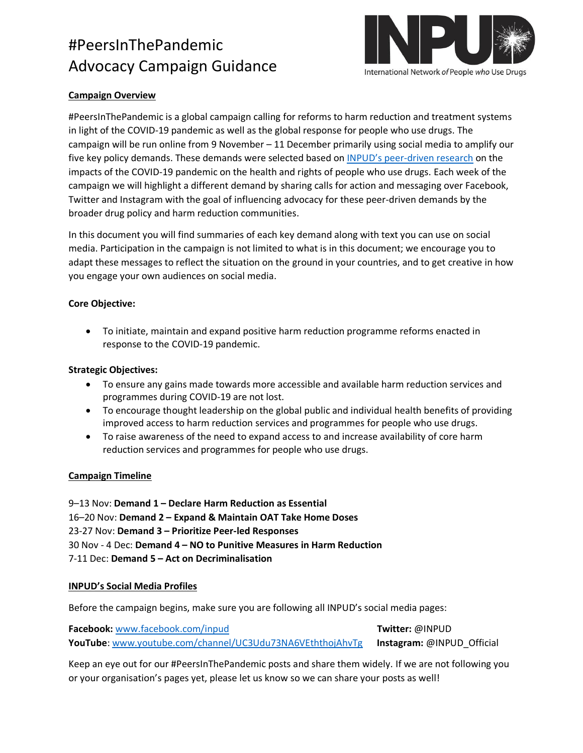

### **Campaign Overview**

#PeersInThePandemic is a global campaign calling for reforms to harm reduction and treatment systems in light of the COVID-19 pandemic as well as the global response for people who use drugs. The campaign will be run online from 9 November – 11 December primarily using social media to amplify our five key policy demands. These demands were selected based on INPUD's peer[-driven research](about:blank) on the impacts of the COVID-19 pandemic on the health and rights of people who use drugs. Each week of the campaign we will highlight a different demand by sharing calls for action and messaging over Facebook, Twitter and Instagram with the goal of influencing advocacy for these peer-driven demands by the broader drug policy and harm reduction communities.

In this document you will find summaries of each key demand along with text you can use on social media. Participation in the campaign is not limited to what is in this document; we encourage you to adapt these messages to reflect the situation on the ground in your countries, and to get creative in how you engage your own audiences on social media.

### **Core Objective:**

• To initiate, maintain and expand positive harm reduction programme reforms enacted in response to the COVID-19 pandemic.

#### **Strategic Objectives:**

- To ensure any gains made towards more accessible and available harm reduction services and programmes during COVID-19 are not lost.
- To encourage thought leadership on the global public and individual health benefits of providing improved access to harm reduction services and programmes for people who use drugs.
- To raise awareness of the need to expand access to and increase availability of core harm reduction services and programmes for people who use drugs.

#### **Campaign Timeline**

9–13 Nov: **Demand 1 – Declare Harm Reduction as Essential** 16–20 Nov: **Demand 2 – Expand & Maintain OAT Take Home Doses** 23-27 Nov: **Demand 3 – Prioritize Peer-led Responses** 30 Nov - 4 Dec: **Demand 4 – NO to Punitive Measures in Harm Reduction** 7-11 Dec: **Demand 5 – Act on Decriminalisation**

#### **INPUD's Social Media Profiles**

Before the campaign begins, make sure you are following all INPUD's social media pages:

**Facebook:** [www.facebook.com/inpud](about:blank) **Twitter:** @INPUD **YouTube**: [www.youtube.com/channel/UC3Udu73NA6VEththojAhvTg](about:blank) **Instagram:** @INPUD\_Official

Keep an eye out for our #PeersInThePandemic posts and share them widely. If we are not following you or your organisation's pages yet, please let us know so we can share your posts as well!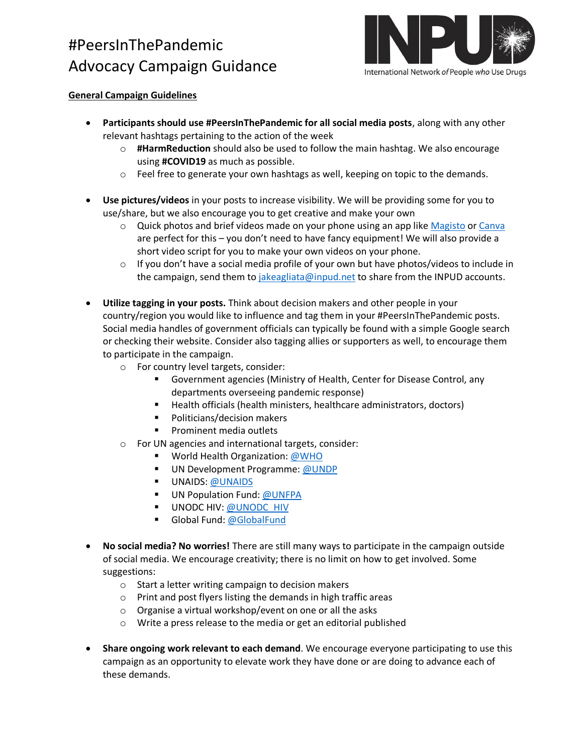

### **General Campaign Guidelines**

- **Participants should use #PeersInThePandemic for all social media posts**, along with any other relevant hashtags pertaining to the action of the week
	- o **#HarmReduction** should also be used to follow the main hashtag. We also encourage using **#COVID19** as much as possible.
	- o Feel free to generate your own hashtags as well, keeping on topic to the demands.
- **Use pictures/videos** in your posts to increase visibility. We will be providing some for you to use/share, but we also encourage you to get creative and make your own
	- $\circ$  Quick photos and brief videos made on your phone using an app lik[e Magisto](https://www.magisto.com/) or [Canva](https://www.canva.com/) are perfect for this – you don't need to have fancy equipment! We will also provide a short video script for you to make your own videos on your phone.
	- $\circ$  If you don't have a social media profile of your own but have photos/videos to include in the campaign, send them to [jakeagliata@inpud.net](mailto:jakeagliata@inpud.net) to share from the INPUD accounts.
- **Utilize tagging in your posts.** Think about decision makers and other people in your country/region you would like to influence and tag them in your #PeersInThePandemic posts. Social media handles of government officials can typically be found with a simple Google search or checking their website. Consider also tagging allies or supporters as well, to encourage them to participate in the campaign.
	- o For country level targets, consider:
		- Government agencies (Ministry of Health, Center for Disease Control, any departments overseeing pandemic response)
		- Health officials (health ministers, healthcare administrators, doctors)
		- Politicians/decision makers
		- Prominent media outlets
	- o For UN agencies and international targets, consider:
		- World Health Organization: [@WHO](https://twitter.com/WHO)
		- UN Development Programme: [@UNDP](https://twitter.com/UNDP/)
		- **■** UNAIDS[: @UNAIDS](https://twitter.com/UNAIDS)
		- UN Population Fund[: @UNFPA](https://twitter.com/unfpa)
		- **UNODC HIV: @UNODC HIV**
		- Global Fund: [@GlobalFund](https://twitter.com/GlobalFund)
- **No social media? No worries!** There are still many ways to participate in the campaign outside of social media. We encourage creativity; there is no limit on how to get involved. Some suggestions:
	- o Start a letter writing campaign to decision makers
	- o Print and post flyers listing the demands in high traffic areas
	- o Organise a virtual workshop/event on one or all the asks
	- o Write a press release to the media or get an editorial published
- **Share ongoing work relevant to each demand**. We encourage everyone participating to use this campaign as an opportunity to elevate work they have done or are doing to advance each of these demands.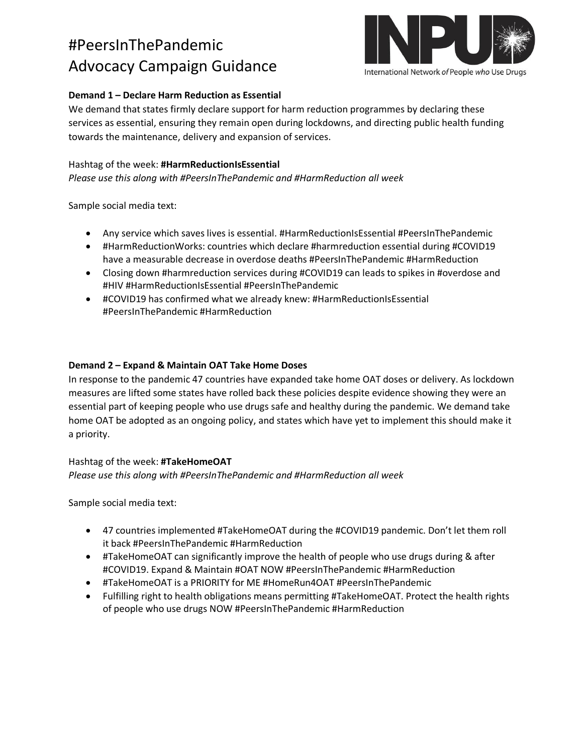

## **Demand 1 – Declare Harm Reduction as Essential**

We demand that states firmly declare support for harm reduction programmes by declaring these services as essential, ensuring they remain open during lockdowns, and directing public health funding towards the maintenance, delivery and expansion of services.

## Hashtag of the week: **#HarmReductionIsEssential**

*Please use this along with #PeersInThePandemic and #HarmReduction all week*

Sample social media text:

- Any service which saves lives is essential. #HarmReductionIsEssential #PeersInThePandemic
- #HarmReductionWorks: countries which declare #harmreduction essential during #COVID19 have a measurable decrease in overdose deaths #PeersInThePandemic #HarmReduction
- Closing down #harmreduction services during #COVID19 can leads to spikes in #overdose and #HIV #HarmReductionIsEssential #PeersInThePandemic
- #COVID19 has confirmed what we already knew: #HarmReductionIsEssential #PeersInThePandemic #HarmReduction

### **Demand 2 – Expand & Maintain OAT Take Home Doses**

In response to the pandemic 47 countries have expanded take home OAT doses or delivery. As lockdown measures are lifted some states have rolled back these policies despite evidence showing they were an essential part of keeping people who use drugs safe and healthy during the pandemic. We demand take home OAT be adopted as an ongoing policy, and states which have yet to implement this should make it a priority.

### Hashtag of the week: **#TakeHomeOAT**

*Please use this along with #PeersInThePandemic and #HarmReduction all week*

Sample social media text:

- 47 countries implemented #TakeHomeOAT during the #COVID19 pandemic. Don't let them roll it back #PeersInThePandemic #HarmReduction
- #TakeHomeOAT can significantly improve the health of people who use drugs during & after #COVID19. Expand & Maintain #OAT NOW #PeersInThePandemic #HarmReduction
- #TakeHomeOAT is a PRIORITY for ME #HomeRun4OAT #PeersInThePandemic
- Fulfilling right to health obligations means permitting #TakeHomeOAT. Protect the health rights of people who use drugs NOW #PeersInThePandemic #HarmReduction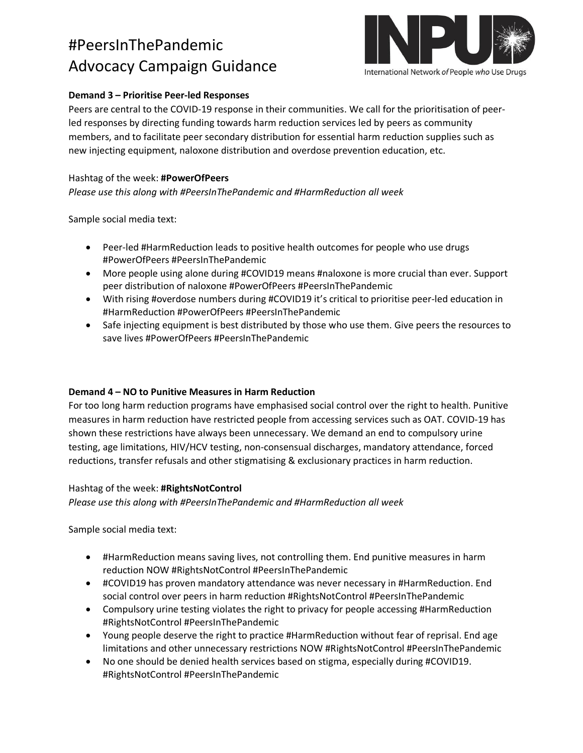

### **Demand 3 – Prioritise Peer-led Responses**

Peers are central to the COVID-19 response in their communities. We call for the prioritisation of peerled responses by directing funding towards harm reduction services led by peers as community members, and to facilitate peer secondary distribution for essential harm reduction supplies such as new injecting equipment, naloxone distribution and overdose prevention education, etc.

### Hashtag of the week: **#PowerOfPeers**

*Please use this along with #PeersInThePandemic and #HarmReduction all week*

Sample social media text:

- Peer-led #HarmReduction leads to positive health outcomes for people who use drugs #PowerOfPeers #PeersInThePandemic
- More people using alone during #COVID19 means #naloxone is more crucial than ever. Support peer distribution of naloxone #PowerOfPeers #PeersInThePandemic
- With rising #overdose numbers during #COVID19 it's critical to prioritise peer-led education in #HarmReduction #PowerOfPeers #PeersInThePandemic
- Safe injecting equipment is best distributed by those who use them. Give peers the resources to save lives #PowerOfPeers #PeersInThePandemic

#### **Demand 4 – NO to Punitive Measures in Harm Reduction**

For too long harm reduction programs have emphasised social control over the right to health. Punitive measures in harm reduction have restricted people from accessing services such as OAT. COVID-19 has shown these restrictions have always been unnecessary. We demand an end to compulsory urine testing, age limitations, HIV/HCV testing, non-consensual discharges, mandatory attendance, forced reductions, transfer refusals and other stigmatising & exclusionary practices in harm reduction.

#### Hashtag of the week: **#RightsNotControl**

*Please use this along with #PeersInThePandemic and #HarmReduction all week*

Sample social media text:

- #HarmReduction means saving lives, not controlling them. End punitive measures in harm reduction NOW #RightsNotControl #PeersInThePandemic
- #COVID19 has proven mandatory attendance was never necessary in #HarmReduction. End social control over peers in harm reduction #RightsNotControl #PeersInThePandemic
- Compulsory urine testing violates the right to privacy for people accessing #HarmReduction #RightsNotControl #PeersInThePandemic
- Young people deserve the right to practice #HarmReduction without fear of reprisal. End age limitations and other unnecessary restrictions NOW #RightsNotControl #PeersInThePandemic
- No one should be denied health services based on stigma, especially during #COVID19. #RightsNotControl #PeersInThePandemic